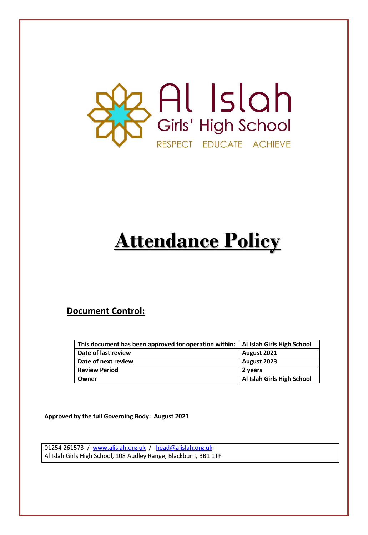

# **Attendance Policy**

## **Document Control:**

| This document has been approved for operation within: | Al Islah Girls High School |
|-------------------------------------------------------|----------------------------|
| Date of last review                                   | August 2021                |
| Date of next review                                   | August 2023                |
| <b>Review Period</b>                                  | 2 years                    |
| Owner                                                 | Al Islah Girls High School |

**Approved by the full Governing Body: August 2021**

01254 261573 / [www.alislah.org.uk](http://www.alislah.org.uk/) / [head@alislah.org.uk](mailto:head@alislah.org.uk) Al Islah Girls High School, 108 Audley Range, Blackburn, BB1 1TF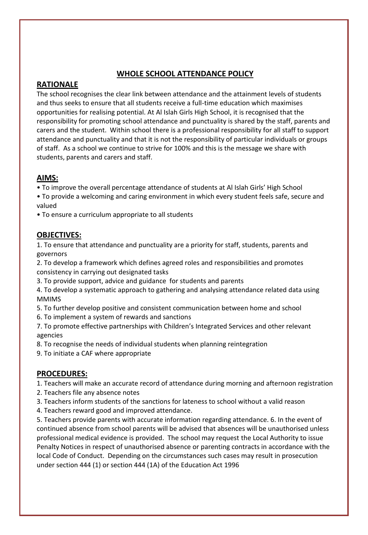## **WHOLE SCHOOL ATTENDANCE POLICY**

#### **RATIONALE**

The school recognises the clear link between attendance and the attainment levels of students and thus seeks to ensure that all students receive a full-time education which maximises opportunities for realising potential. At Al Islah Girls High School, it is recognised that the responsibility for promoting school attendance and punctuality is shared by the staff, parents and carers and the student. Within school there is a professional responsibility for all staff to support attendance and punctuality and that it is not the responsibility of particular individuals or groups of staff. As a school we continue to strive for 100% and this is the message we share with students, parents and carers and staff.

#### **AIMS:**

• To improve the overall percentage attendance of students at Al Islah Girls' High School

• To provide a welcoming and caring environment in which every student feels safe, secure and valued

• To ensure a curriculum appropriate to all students

#### **OBJECTIVES:**

1. To ensure that attendance and punctuality are a priority for staff, students, parents and governors

2. To develop a framework which defines agreed roles and responsibilities and promotes consistency in carrying out designated tasks

3. To provide support, advice and guidance for students and parents

4. To develop a systematic approach to gathering and analysing attendance related data using MMIMS

5. To further develop positive and consistent communication between home and school

6. To implement a system of rewards and sanctions

7. To promote effective partnerships with Children's Integrated Services and other relevant agencies

8. To recognise the needs of individual students when planning reintegration

9. To initiate a CAF where appropriate

### **PROCEDURES:**

1. Teachers will make an accurate record of attendance during morning and afternoon registration

2. Teachers file any absence notes

3. Teachers inform students of the sanctions for lateness to school without a valid reason

4. Teachers reward good and improved attendance.

5. Teachers provide parents with accurate information regarding attendance. 6. In the event of continued absence from school parents will be advised that absences will be unauthorised unless professional medical evidence is provided. The school may request the Local Authority to issue Penalty Notices in respect of unauthorised absence or parenting contracts in accordance with the local Code of Conduct. Depending on the circumstances such cases may result in prosecution under section 444 (1) or section 444 (1A) of the Education Act 1996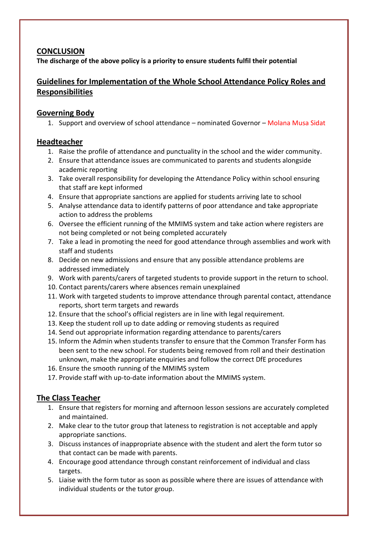## **CONCLUSION**

**The discharge of the above policy is a priority to ensure students fulfil their potential** 

## **Guidelines for Implementation of the Whole School Attendance Policy Roles and Responsibilities**

## **Governing Body**

1. Support and overview of school attendance – nominated Governor – Molana Musa Sidat

## **Headteacher**

- 1. Raise the profile of attendance and punctuality in the school and the wider community.
- 2. Ensure that attendance issues are communicated to parents and students alongside academic reporting
- 3. Take overall responsibility for developing the Attendance Policy within school ensuring that staff are kept informed
- 4. Ensure that appropriate sanctions are applied for students arriving late to school
- 5. Analyse attendance data to identify patterns of poor attendance and take appropriate action to address the problems
- 6. Oversee the efficient running of the MMIMS system and take action where registers are not being completed or not being completed accurately
- 7. Take a lead in promoting the need for good attendance through assemblies and work with staff and students
- 8. Decide on new admissions and ensure that any possible attendance problems are addressed immediately
- 9. Work with parents/carers of targeted students to provide support in the return to school.
- 10. Contact parents/carers where absences remain unexplained
- 11. Work with targeted students to improve attendance through parental contact, attendance reports, short term targets and rewards
- 12. Ensure that the school's official registers are in line with legal requirement.
- 13. Keep the student roll up to date adding or removing students as required
- 14. Send out appropriate information regarding attendance to parents/carers
- 15. Inform the Admin when students transfer to ensure that the Common Transfer Form has been sent to the new school. For students being removed from roll and their destination unknown, make the appropriate enquiries and follow the correct DfE procedures
- 16. Ensure the smooth running of the MMIMS system
- 17. Provide staff with up-to-date information about the MMIMS system.

## **The Class Teacher**

- 1. Ensure that registers for morning and afternoon lesson sessions are accurately completed and maintained.
- 2. Make clear to the tutor group that lateness to registration is not acceptable and apply appropriate sanctions.
- 3. Discuss instances of inappropriate absence with the student and alert the form tutor so that contact can be made with parents.
- 4. Encourage good attendance through constant reinforcement of individual and class targets.
- 5. Liaise with the form tutor as soon as possible where there are issues of attendance with individual students or the tutor group.